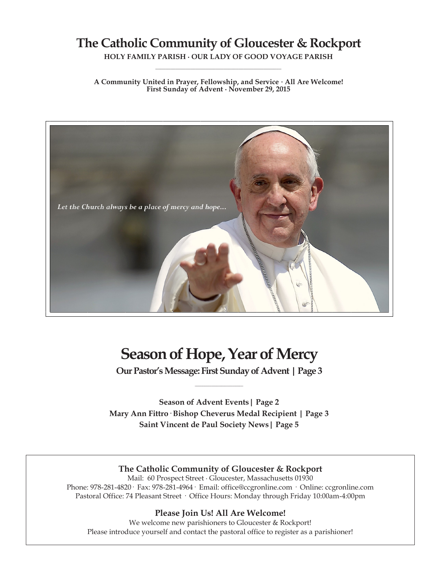## **The Catholic Community of Gloucester & Rockport**

**HOLY FAMILY PARISH ∙ OUR LADY OF GOOD VOYAGE PARISH \_\_\_\_\_\_\_\_\_\_\_\_\_\_\_\_\_\_\_\_\_\_\_\_\_\_\_\_\_\_\_\_\_\_\_\_\_\_\_\_\_\_\_\_\_\_\_\_\_\_**

**A Community United in Prayer, Fellowship, and Service ∙ All Are Welcome! First Sunday of Advent ∙ November 29, 2015**



# **Season of Hope, Year of Mercy**

**Our Pastor's Message: First Sunday of Advent | Page 3 \_\_\_\_\_\_\_\_\_\_\_\_\_\_\_\_\_\_\_\_\_\_\_\_**

**Season of Advent Events| Page 2 Mary Ann Fittro· Bishop Cheverus Medal Recipient | Page 3 Saint Vincent de Paul Society News| Page 5**

## **The Catholic Community of Gloucester & Rockport**

Mail: 60 Prospect Street ∙ Gloucester, Massachusetts 01930 Phone: 978-281-4820· Fax: 978-281-4964· Email: office@ccgronline.com · Online: ccgronline.com Pastoral Office: 74 Pleasant Street · Office Hours: Monday through Friday 10:00am-4:00pm

## **Please Join Us! All Are Welcome!**

We welcome new parishioners to Gloucester & Rockport! Please introduce yourself and contact the pastoral office to register as a parishioner!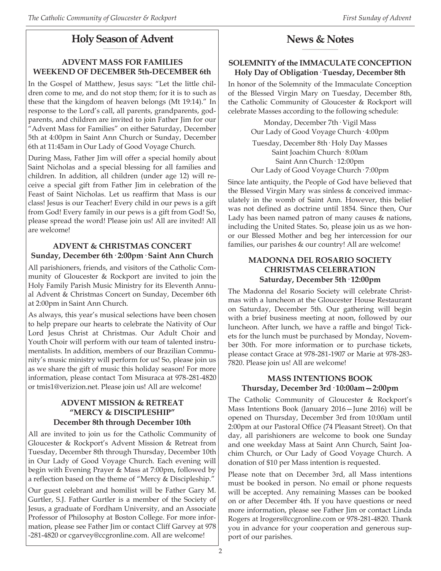#### **Holy Season of Advent \_\_\_\_\_\_\_\_\_\_\_\_\_\_\_\_\_\_\_\_\_**

## **ADVENT MASS FOR FAMILIES WEEKEND OF DECEMBER 5th-DECEMBER 6th**

In the Gospel of Matthew, Jesus says: "Let the little children come to me, and do not stop them; for it is to such as these that the kingdom of heaven belongs (Mt 19:14)." In response to the Lord's call, all parents, grandparents, godparents, and children are invited to join Father Jim for our "Advent Mass for Families" on either Saturday, December 5th at 4:00pm in Saint Ann Church or Sunday, December 6th at 11:45am in Our Lady of Good Voyage Church.

During Mass, Father Jim will offer a special homily about Saint Nicholas and a special blessing for all families and children. In addition, all children (under age 12) will receive a special gift from Father Jim in celebration of the Feast of Saint Nicholas. Let us reaffirm that Mass is our class! Jesus is our Teacher! Every child in our pews is a gift from God! Every family in our pews is a gift from God! So, please spread the word! Please join us! All are invited! All are welcome!

## **ADVENT & CHRISTMAS CONCERT Sunday, December 6th· 2:00pm· Saint Ann Church**

All parishioners, friends, and visitors of the Catholic Community of Gloucester & Rockport are invited to join the Holy Family Parish Music Ministry for its Eleventh Annual Advent & Christmas Concert on Sunday, December 6th at 2:00pm in Saint Ann Church.

As always, this year's musical selections have been chosen to help prepare our hearts to celebrate the Nativity of Our Lord Jesus Christ at Christmas. Our Adult Choir and Youth Choir will perform with our team of talented instrumentalists. In addition, members of our Brazilian Community's music ministry will perform for us! So, please join us as we share the gift of music this holiday season! For more information, please contact Tom Misuraca at 978-281-4820 or tmis1@verizion.net. Please join us! All are welcome!

### **ADVENT MISSION & RETREAT "MERCY & DISCIPLESHIP" December 8th through December 10th**

All are invited to join us for the Catholic Community of Gloucester & Rockport's Advent Mission & Retreat from Tuesday, December 8th through Thursday, December 10th in Our Lady of Good Voyage Church. Each evening will begin with Evening Prayer & Mass at 7:00pm, followed by a reflection based on the theme of "Mercy & Discipleship."

Our guest celebrant and homilist will be Father Gary M. Gurtler, S.J. Father Gurtler is a member of the Society of Jesus, a graduate of Fordham University, and an Associate Professor of Philosophy at Boston College. For more information, please see Father Jim or contact Cliff Garvey at 978 -281-4820 or cgarvey@ccgronline.com. All are welcome!

#### **News & Notes \_\_\_\_\_\_\_\_\_\_\_\_\_\_\_\_\_\_\_\_**

## **SOLEMNITY of the IMMACULATE CONCEPTION Holy Day of Obligation· Tuesday, December 8th**

In honor of the Solemnity of the Immaculate Conception of the Blessed Virgin Mary on Tuesday, December 8th, the Catholic Community of Gloucester & Rockport will celebrate Masses according to the following schedule:

> Monday, December 7th· Vigil Mass Our Lady of Good Voyage Church· 4:00pm

> Tuesday, December 8th· Holy Day Masses Saint Joachim Church· 8:00am Saint Ann Church· 12:00pm Our Lady of Good Voyage Church· 7:00pm

Since late antiquity, the People of God have believed that the Blessed Virgin Mary was sinless & conceived immaculately in the womb of Saint Ann. However, this belief was not defined as doctrine until 1854. Since then, Our Lady has been named patron of many causes & nations, including the United States. So, please join us as we honor our Blessed Mother and beg her intercession for our families, our parishes & our country! All are welcome!

## **MADONNA DEL ROSARIO SOCIETY CHRISTMAS CELEBRATION Saturday, December 5th· 12:00pm**

The Madonna del Rosario Society will celebrate Christmas with a luncheon at the Gloucester House Restaurant on Saturday, December 5th. Our gathering will begin with a brief business meeting at noon, followed by our luncheon. After lunch, we have a raffle and bingo! Tickets for the lunch must be purchased by Monday, November 30th. For more information or to purchase tickets, please contact Grace at 978-281-1907 or Marie at 978-283- 7820. Please join us! All are welcome!

## **MASS INTENTIONS BOOK Thursday, December 3rd· 10:00am—2:00pm**

The Catholic Community of Gloucester & Rockport's Mass Intentions Book (January 2016—June 2016) will be opened on Thursday, December 3rd from 10:00am until 2:00pm at our Pastoral Office (74 Pleasant Street). On that day, all parishioners are welcome to book one Sunday and one weekday Mass at Saint Ann Church, Saint Joachim Church, or Our Lady of Good Voyage Church. A donation of \$10 per Mass intention is requested.

Please note that on December 3rd, all Mass intentions must be booked in person. No email or phone requests will be accepted. Any remaining Masses can be booked on or after December 4th. If you have questions or need more information, please see Father Jim or contact Linda Rogers at lrogers@ccgronline.com or 978-281-4820. Thank you in advance for your cooperation and generous support of our parishes.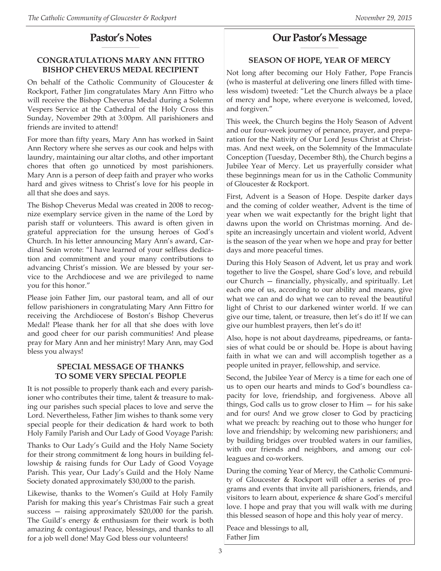#### **Pastor's Notes \_\_\_\_\_\_\_\_\_\_\_\_\_\_\_\_\_\_\_\_\_**

## **CONGRATULATIONS MARY ANN FITTRO BISHOP CHEVERUS MEDAL RECIPIENT**

On behalf of the Catholic Community of Gloucester & Rockport, Father Jim congratulates Mary Ann Fittro who will receive the Bishop Cheverus Medal during a Solemn Vespers Service at the Cathedral of the Holy Cross this Sunday, November 29th at 3:00pm. All parishioners and friends are invited to attend!

For more than fifty years, Mary Ann has worked in Saint Ann Rectory where she serves as our cook and helps with laundry, maintaining our altar cloths, and other important chores that often go unnoticed by most parishioners. Mary Ann is a person of deep faith and prayer who works hard and gives witness to Christ's love for his people in all that she does and says.

The Bishop Cheverus Medal was created in 2008 to recognize exemplary service given in the name of the Lord by parish staff or volunteers. This award is often given in grateful appreciation for the unsung heroes of God's Church. In his letter announcing Mary Ann's award, Cardinal Seán wrote: "I have learned of your selfless dedication and commitment and your many contributions to advancing Christ's mission. We are blessed by your service to the Archdiocese and we are privileged to name you for this honor."

Please join Father Jim, our pastoral team, and all of our fellow parishioners in congratulating Mary Ann Fittro for receiving the Archdiocese of Boston's Bishop Cheverus Medal! Please thank her for all that she does with love and good cheer for our parish communities! And please pray for Mary Ann and her ministry! Mary Ann, may God bless you always!

## **SPECIAL MESSAGE OF THANKS TO SOME VERY SPECIAL PEOPLE**

It is not possible to properly thank each and every parishioner who contributes their time, talent & treasure to making our parishes such special places to love and serve the Lord. Nevertheless, Father Jim wishes to thank some very special people for their dedication & hard work to both Holy Family Parish and Our Lady of Good Voyage Parish:

Thanks to Our Lady's Guild and the Holy Name Society for their strong commitment & long hours in building fellowship & raising funds for Our Lady of Good Voyage Parish. This year, Our Lady's Guild and the Holy Name Society donated approximately \$30,000 to the parish.

Likewise, thanks to the Women's Guild at Holy Family Parish for making this year's Christmas Fair such a great success — raising approximately \$20,000 for the parish. The Guild's energy & enthusiasm for their work is both amazing & contagious! Peace, blessings, and thanks to all for a job well done! May God bless our volunteers!

#### **Our Pastor's Message \_\_\_\_\_\_\_\_\_\_\_\_\_\_\_\_\_\_\_\_\_**

## **SEASON OF HOPE, YEAR OF MERCY**

Not long after becoming our Holy Father, Pope Francis (who is masterful at delivering one liners filled with timeless wisdom) tweeted: "Let the Church always be a place of mercy and hope, where everyone is welcomed, loved, and forgiven."

This week, the Church begins the Holy Season of Advent and our four-week journey of penance, prayer, and preparation for the Nativity of Our Lord Jesus Christ at Christmas. And next week, on the Solemnity of the Immaculate Conception (Tuesday, December 8th), the Church begins a Jubilee Year of Mercy. Let us prayerfully consider what these beginnings mean for us in the Catholic Community of Gloucester & Rockport.

First, Advent is a Season of Hope. Despite darker days and the coming of colder weather, Advent is the time of year when we wait expectantly for the bright light that dawns upon the world on Christmas morning. And despite an increasingly uncertain and violent world, Advent is the season of the year when we hope and pray for better days and more peaceful times.

During this Holy Season of Advent, let us pray and work together to live the Gospel, share God's love, and rebuild our Church — financially, physically, and spiritually. Let each one of us, according to our ability and means, give what we can and do what we can to reveal the beautiful light of Christ to our darkened winter world. If we can give our time, talent, or treasure, then let's do it! If we can give our humblest prayers, then let's do it!

Also, hope is not about daydreams, pipedreams, or fantasies of what could be or should be. Hope is about having faith in what we can and will accomplish together as a people united in prayer, fellowship, and service.

Second, the Jubilee Year of Mercy is a time for each one of us to open our hearts and minds to God's boundless capacity for love, friendship, and forgiveness. Above all things, God calls us to grow closer to Him — for his sake and for ours! And we grow closer to God by practicing what we preach: by reaching out to those who hunger for love and friendship; by welcoming new parishioners; and by building bridges over troubled waters in our families, with our friends and neighbors, and among our colleagues and co-workers.

During the coming Year of Mercy, the Catholic Community of Gloucester & Rockport will offer a series of programs and events that invite all parishioners, friends, and visitors to learn about, experience & share God's merciful love. I hope and pray that you will walk with me during this blessed season of hope and this holy year of mercy.

Peace and blessings to all, Father Jim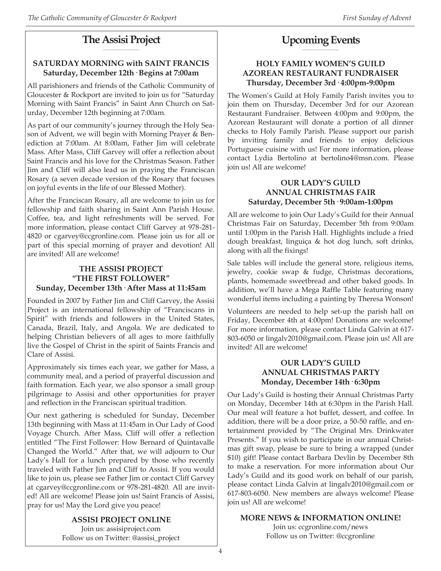#### **The Assisi Project \_\_\_\_\_\_\_\_\_\_\_\_\_\_\_\_\_\_\_\_**

## **SATURDAY MORNING with SAINT FRANCIS Saturday, December 12th· Begins at 7:00am**

All parishioners and friends of the Catholic Community of Gloucester & Rockport are invited to join us for "Saturday Morning with Saint Francis" in Saint Ann Church on Saturday, December 12th beginning at 7:00am.

As part of our community's journey through the Holy Season of Advent, we will begin with Morning Prayer & Benediction at 7:00am. At 8:00am, Father Jim will celebrate Mass. After Mass, Cliff Garvey will offer a reflection about Saint Francis and his love for the Christmas Season. Father Jim and Cliff will also lead us in praying the Franciscan Rosary (a seven decade version of the Rosary that focuses on joyful events in the life of our Blessed Mother).

After the Franciscan Rosary, all are welcome to join us for fellowship and faith sharing in Saint Ann Parish House. Coffee, tea, and light refreshments will be served. For more information, please contact Cliff Garvey at 978-281- 4820 or cgarvey@ccgronline.com. Please join us for all or part of this special morning of prayer and devotion! All are invited! All are welcome!

## **THE ASSISI PROJECT "THE FIRST FOLLOWER" Sunday, December 13th· After Mass at 11:45am**

Founded in 2007 by Father Jim and Cliff Garvey, the Assisi Project is an international fellowship of "Franciscans in Spirit" with friends and followers in the United States, Canada, Brazil, Italy, and Angola. We are dedicated to helping Christian believers of all ages to more faithfully live the Gospel of Christ in the spirit of Saints Francis and Clare of Assisi.

Approximately six times each year, we gather for Mass, a community meal, and a period of prayerful discussion and faith formation. Each year, we also sponsor a small group pilgrimage to Assisi and other opportunities for prayer and reflection in the Franciscan spiritual tradition.

Our next gathering is scheduled for Sunday, December 13th beginning with Mass at 11:45am in Our Lady of Good Voyage Church. After Mass, Cliff will offer a reflection entitled "The First Follower: How Bernard of Quintavalle Changed the World." After that, we will adjourn to Our Lady's Hall for a lunch prepared by those who recently traveled with Father Jim and Cliff to Assisi. If you would like to join us, please see Father Jim or contact Cliff Garvey at cgarvey@ccgronline.com or 978-281-4820. All are invited! All are welcome! Please join us! Saint Francis of Assisi, pray for us! May the Lord give you peace!

> **ASSISI PROJECT ONLINE** Join us: assisiproject.com Follow us on Twitter: @assisi\_project

#### **Upcoming Events \_\_\_\_\_\_\_\_\_\_\_\_\_\_\_\_\_\_\_\_**

## **HOLY FAMILY WOMEN'S GUILD AZOREAN RESTAURANT FUNDRAISER Thursday, December 3rd· 4:00pm-9:00pm**

The Women's Guild at Holy Family Parish invites you to join them on Thursday, December 3rd for our Azorean Restaurant Fundraiser. Between 4:00pm and 9:00pm, the Azorean Restaurant will donate a portion of all dinner checks to Holy Family Parish. Please support our parish by inviting family and friends to enjoy delicious Portuguese cuisine with us! For more information, please contact Lydia Bertolino at bertolino4@msn.com. Please join us! All are welcome!

## **OUR LADY'S GUILD ANNUAL CHRISTMAS FAIR Saturday, December 5th· 9:00am-1:00pm**

All are welcome to join Our Lady's Guild for their Annual Christmas Fair on Saturday, December 5th from 9:00am until 1:00pm in the Parish Hall. Highlights include a fried dough breakfast, linguiça & hot dog lunch, soft drinks, along with all the fixings!

Sale tables will include the general store, religious items, jewelry, cookie swap & fudge, Christmas decorations, plants, homemade sweetbread and other baked goods. In addition, we'll have a Mega Raffle Table featuring many wonderful items including a painting by Theresa Wonson!

Volunteers are needed to help set-up the parish hall on Friday, December 4th at 4:00pm! Donations are welcome! For more information, please contact Linda Galvin at 617- 803-6050 or lingalv2010@gmail.com. Please join us! All are invited! All are welcome!

## **OUR LADY'S GUILD ANNUAL CHRISTMAS PARTY Monday, December 14th· 6:30pm**

Our Lady's Guild is hosting their Annual Christmas Party on Monday, December 14th at 6:30pm in the Parish Hall. Our meal will feature a hot buffet, dessert, and coffee. In addition, there will be a door prize, a 50-50 raffle, and entertainment provided by "The Original Mrs. Drinkwater Presents." If you wish to participate in our annual Christmas gift swap, please be sure to bring a wrapped (under \$10) gift! Please contact Barbara Devlin by December 8th to make a reservation. For more information about Our Lady's Guild and its good work on behalf of our parish, please contact Linda Galvin at lingalv2010@gmail.com or 617-803-6050. New members are always welcome! Please join us! All are welcome!

## **MORE NEWS & INFORMATION ONLINE!**

Join us: ccgronline.com/news Follow us on Twitter: @ccgronline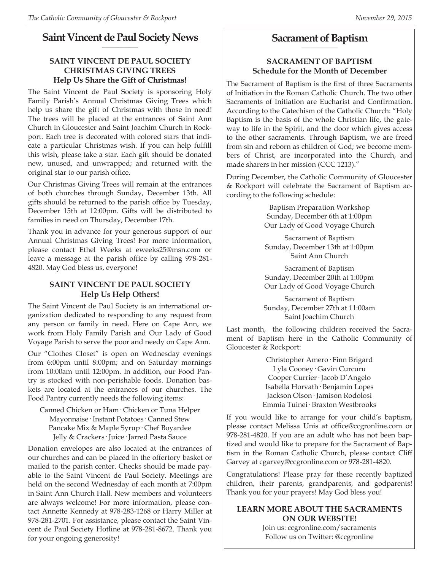#### **Saint Vincent de Paul Society News \_\_\_\_\_\_\_\_\_\_\_\_\_\_\_\_\_\_\_\_**

## **SAINT VINCENT DE PAUL SOCIETY CHRISTMAS GIVING TREES Help Us Share the Gift of Christmas!**

The Saint Vincent de Paul Society is sponsoring Holy Family Parish's Annual Christmas Giving Trees which help us share the gift of Christmas with those in need! The trees will be placed at the entrances of Saint Ann Church in Gloucester and Saint Joachim Church in Rockport. Each tree is decorated with colored stars that indicate a particular Christmas wish. If you can help fulfill this wish, please take a star. Each gift should be donated new, unused, and unwrapped; and returned with the original star to our parish office.

Our Christmas Giving Trees will remain at the entrances of both churches through Sunday, December 13th. All gifts should be returned to the parish office by Tuesday, December 15th at 12:00pm. Gifts will be distributed to families in need on Thursday, December 17th.

Thank you in advance for your generous support of our Annual Christmas Giving Trees! For more information, please contact Ethel Weeks at eweeks25@msn.com or leave a message at the parish office by calling 978-281- 4820. May God bless us, everyone!

## **SAINT VINCENT DE PAUL SOCIETY Help Us Help Others!**

The Saint Vincent de Paul Society is an international organization dedicated to responding to any request from any person or family in need. Here on Cape Ann, we work from Holy Family Parish and Our Lady of Good Voyage Parish to serve the poor and needy on Cape Ann.

Our "Clothes Closet" is open on Wednesday evenings from 6:00pm until 8:00pm; and on Saturday mornings from 10:00am until 12:00pm. In addition, our Food Pantry is stocked with non-perishable foods. Donation baskets are located at the entrances of our churches. The Food Pantry currently needs the following items:

Canned Chicken or Ham· Chicken or Tuna Helper Mayonnaise· Instant Potatoes· Canned Stew Pancake Mix & Maple Syrup· Chef Boyardee Jelly & Crackers· Juice· Jarred Pasta Sauce

Donation envelopes are also located at the entrances of our churches and can be placed in the offertory basket or mailed to the parish center. Checks should be made payable to the Saint Vincent de Paul Society. Meetings are held on the second Wednesday of each month at 7:00pm in Saint Ann Church Hall. New members and volunteers are always welcome! For more information, please contact Annette Kennedy at 978-283-1268 or Harry Miller at 978-281-2701. For assistance, please contact the Saint Vincent de Paul Society Hotline at 978-281-8672. Thank you for your ongoing generosity!

#### **Sacrament of Baptism \_\_\_\_\_\_\_\_\_\_\_\_\_\_\_\_\_\_\_\_**

## **SACRAMENT OF BAPTISM Schedule for the Month of December**

The Sacrament of Baptism is the first of three Sacraments of Initiation in the Roman Catholic Church. The two other Sacraments of Initiation are Eucharist and Confirmation. According to the Catechism of the Catholic Church: "Holy Baptism is the basis of the whole Christian life, the gateway to life in the Spirit, and the door which gives access to the other sacraments. Through Baptism, we are freed from sin and reborn as children of God; we become members of Christ, are incorporated into the Church, and made sharers in her mission (CCC 1213)."

During December, the Catholic Community of Gloucester & Rockport will celebrate the Sacrament of Baptism according to the following schedule:

> Baptism Preparation Workshop Sunday, December 6th at 1:00pm Our Lady of Good Voyage Church

> Sacrament of Baptism Sunday, December 13th at 1:00pm Saint Ann Church

> Sacrament of Baptism Sunday, December 20th at 1:00pm Our Lady of Good Voyage Church

> Sacrament of Baptism Sunday, December 27th at 11:00am Saint Joachim Church

Last month, the following children received the Sacrament of Baptism here in the Catholic Community of Gloucester & Rockport:

> Christopher Amero· Finn Brigard Lyla Cooney· Gavin Curcuru Cooper Currier· Jacob D'Angelo Isabella Horvath· Benjamin Lopes Jackson Olson· Jamison Rodolosi Emmia Tuinei· Braxton Westbrooks

If you would like to arrange for your child's baptism, please contact Melissa Unis at office@ccgronline.com or 978-281-4820. If you are an adult who has not been baptized and would like to prepare for the Sacrament of Baptism in the Roman Catholic Church, please contact Cliff Garvey at cgarvey@ccgronline.com or 978-281-4820.

Congratulations! Please pray for these recently baptized children, their parents, grandparents, and godparents! Thank you for your prayers! May God bless you!

## **LEARN MORE ABOUT THE SACRAMENTS ON OUR WEBSITE!**

Join us: ccgronline.com/sacraments Follow us on Twitter: @ccgronline